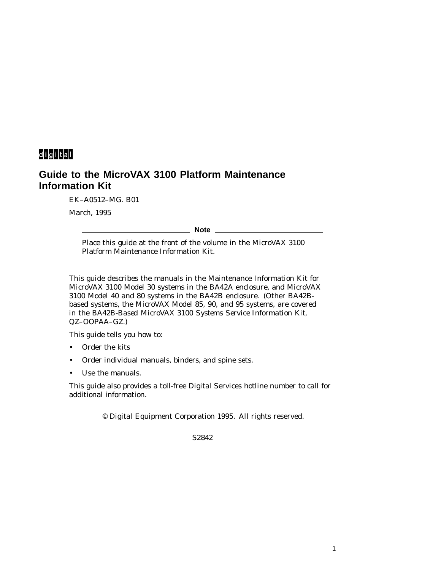# digital

# **Guide to the MicroVAX 3100 Platform Maintenance Information Kit**

EK–A0512–MG. B01

March, 1995

**Note**

Place this guide at the front of the volume in the MicroVAX 3100 Platform Maintenance Information Kit.

This guide describes the manuals in the Maintenance Information Kit for MicroVAX 3100 Model 30 systems in the BA42A enclosure, and MicroVAX 3100 Model 40 and 80 systems in the BA42B enclosure. (Other BA42Bbased systems, the MicroVAX Model 85, 90, and 95 systems, are covered in the *BA42B-Based MicroVAX 3100 Systems Service Information Kit,* QZ–OOPAA–GZ.)

This guide tells you how to:

- Order the kits
- Order individual manuals, binders, and spine sets.
- Use the manuals.

This guide also provides a toll-free Digital Services hotline number to call for additional information.

© Digital Equipment Corporation 1995. All rights reserved.

S2842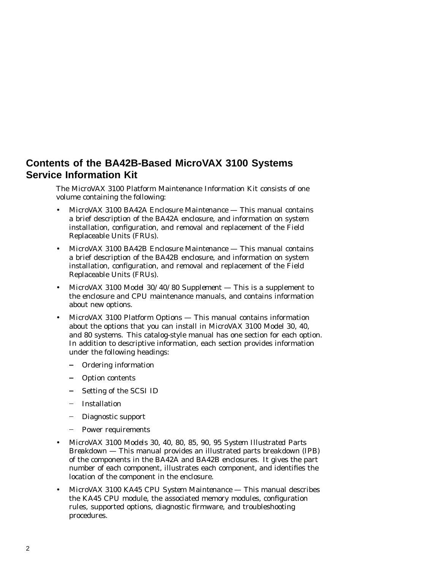## **Contents of the BA42B-Based MicroVAX 3100 Systems Service Information Kit**

The MicroVAX 3100 Platform Maintenance Information Kit consists of one volume containing the following:

- *MicroVAX 3100 BA42A Enclosure Maintenance* This manual contains a brief description of the BA42A enclosure, and information on system installation, configuration, and removal and replacement of the Field Replaceable Units (FRUs).
- *MicroVAX 3100 BA42B Enclosure Maintenance* This manual contains a brief description of the BA42B enclosure, and information on system installation, configuration, and removal and replacement of the Field Replaceable Units (FRUs).
- *MicroVAX 3100 Model 30/40/80 Supplement* This is a supplement to the enclosure and CPU maintenance manuals, and contains information about new options.
- *MicroVAX 3100 Platform Options* This manual contains information about the options that you can install in MicroVAX 3100 Model 30, 40, and 80 systems. This catalog-style manual has one section for each option. In addition to descriptive information, each section provides information under the following headings:
	- Ordering information
	- Option contents
	- $\frac{1}{2}$ Setting of the SCSI ID
	- Installation
	- Diagnostic support
	- Power requirements
- *MicroVAX 3100 Models 30, 40, 80, 85, 90, 95 System Illustrated Parts Breakdown* — This manual provides an illustrated parts breakdown (IPB) of the components in the BA42A and BA42B enclosures. It gives the part number of each component, illustrates each component, and identifies the location of the component in the enclosure.
- *MicroVAX 3100 KA45 CPU System Maintenance* This manual describes the KA45 CPU module, the associated memory modules, configuration rules, supported options, diagnostic firmware, and troubleshooting procedures.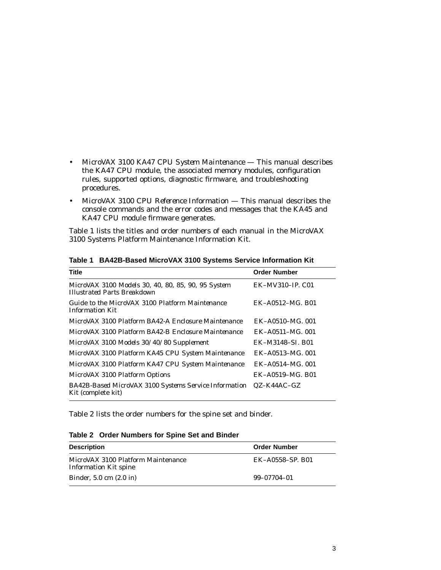- *MicroVAX 3100 KA47 CPU System Maintenance* This manual describes the KA47 CPU module, the associated memory modules, configuration rules, supported options, diagnostic firmware, and troubleshooting procedures.
- *MicroVAX 3100 CPU Reference Information* This manual describes the console commands and the error codes and messages that the KA45 and KA47 CPU module firmware generates.

Table 1 lists the titles and order numbers of each manual in the MicroVAX 3100 Systems Platform Maintenance Information Kit.

| <b>Title</b>                                                                             | <b>Order Number</b>    |
|------------------------------------------------------------------------------------------|------------------------|
| MicroVAX 3100 Models 30, 40, 80, 85, 90, 95 System<br><b>Illustrated Parts Breakdown</b> | EK-MV310-IP. C01       |
| Guide to the MicroVAX 3100 Platform Maintenance<br><i>Information Kit</i>                | EK-A0512-MG, B01       |
| MicroVAX 3100 Platform BA42-A Enclosure Maintenance                                      | EK-A0510-MG, 001       |
| MicroVAX 3100 Platform BA42-B Enclosure Maintenance                                      | $EK - A0511 - MG.$ 001 |
| MicroVAX 3100 Models 30/40/80 Supplement                                                 | EK-M3148-SI, B01       |
| MicroVAX 3100 Platform KA45 CPU System Maintenance                                       | EK-A0513-MG, 001       |
| MicroVAX 3100 Platform KA47 CPU System Maintenance                                       | EK-A0514-MG, 001       |
| MicroVAX 3100 Platform Options                                                           | EK-A0519-MG, B01       |
| BA42B-Based MicroVAX 3100 Systems Service Information<br>Kit (complete kit)              | $QZ-K44AC-GZ$          |

**Table 1 BA42B-Based MicroVAX 3100 Systems Service Information Kit**

Table 2 lists the order numbers for the spine set and binder.

|  | Table 2 Order Numbers for Spine Set and Binder |  |  |  |
|--|------------------------------------------------|--|--|--|
|--|------------------------------------------------|--|--|--|

| <b>Description</b>                                          | <b>Order Number</b> |
|-------------------------------------------------------------|---------------------|
| MicroVAX 3100 Platform Maintenance<br>Information Kit spine | EK-A0558-SP. B01    |
| Binder, $5.0 \text{ cm}$ $(2.0 \text{ in})$                 | 99-07704-01         |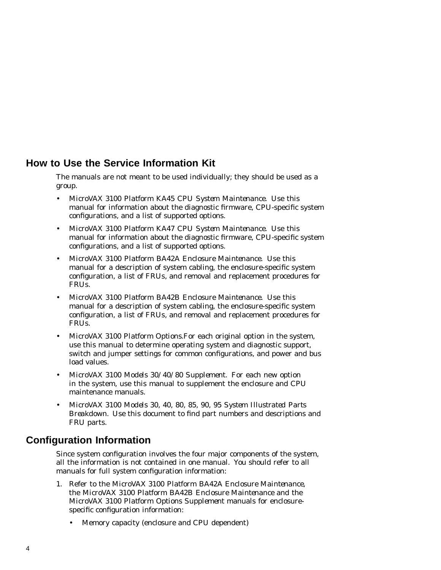### **How to Use the Service Information Kit**

The manuals are not meant to be used individually; they should be used as a group.

- *MicroVAX 3100 Platform KA45 CPU System Maintenance*. Use this manual for information about the diagnostic firmware, CPU-specific system configurations, and a list of supported options.
- *MicroVAX 3100 Platform KA47 CPU System Maintenance*. Use this manual for information about the diagnostic firmware, CPU-specific system configurations, and a list of supported options.
- *MicroVAX 3100 Platform BA42A Enclosure Maintenance*. Use this manual for a description of system cabling, the enclosure-specific system configuration, a list of FRUs, and removal and replacement procedures for FRUs.
- *MicroVAX 3100 Platform BA42B Enclosure Maintenance*. Use this manual for a description of system cabling, the enclosure-specific system configuration, a list of FRUs, and removal and replacement procedures for FRUs.
- *MicroVAX 3100 Platform Options*.For each original option in the system, use this manual to determine operating system and diagnostic support, switch and jumper settings for common configurations, and power and bus load values.
- *MicroVAX 3100 Models 30/40/80 Supplement*. For each new option in the system, use this manual to supplement the enclosure and CPU maintenance manuals.
- *MicroVAX 3100 Models 30, 40, 80, 85, 90, 95 System Illustrated Parts Breakdown*. Use this document to find part numbers and descriptions and FRU parts.

# **Configuration Information**

Since system configuration involves the four major components of the system, all the information is not contained in one manual. You should refer to all manuals for full system configuration information:

- 1. Refer to the *MicroVAX 3100 Platform BA42A Enclosure Maintenance*, the *MicroVAX 3100 Platform BA42B Enclosure Maintenance* and the *MicroVAX 3100 Platform Options Supplement* manuals for enclosurespecific configuration information:
	- Memory capacity (enclosure and CPU dependent)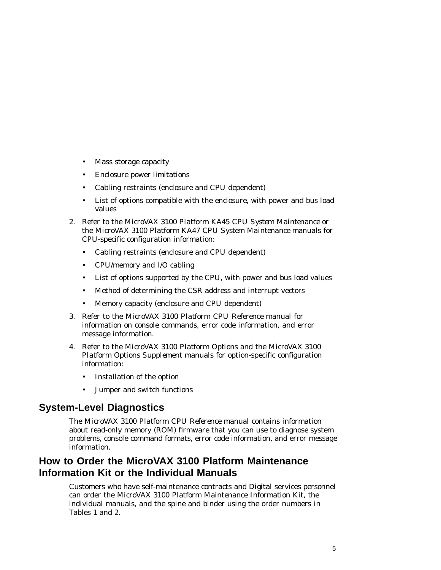- Mass storage capacity
- Enclosure power limitations
- Cabling restraints (enclosure and CPU dependent)
- List of options compatible with the enclosure, with power and bus load values
- 2. Refer to the *MicroVAX 3100 Platform KA45 CPU System Maintenance* or the *MicroVAX 3100 Platform KA47 CPU System Maintenance* manuals for CPU-specific configuration information:
	- Cabling restraints (enclosure and CPU dependent)
	- CPU/memory and I/O cabling
	- List of options supported by the CPU, with power and bus load values
	- Method of determining the CSR address and interrupt vectors
	- Memory capacity (enclosure and CPU dependent)
- 3. Refer to the *MicroVAX 3100 Platform CPU Reference* manual for information on console commands, error code information, and error message information.
- 4. Refer to the *MicroVAX 3100 Platform Options* and the *MicroVAX 3100 Platform Options Supplement* manuals for option-specific configuration information:
	- Installation of the option
	- Jumper and switch functions

### **System-Level Diagnostics**

The *MicroVAX 3100 Platform CPU Reference* manual contains information about read-only memory (ROM) firmware that you can use to diagnose system problems, console command formats, error code information, and error message information.

### **How to Order the MicroVAX 3100 Platform Maintenance Information Kit or the Individual Manuals**

Customers who have self-maintenance contracts and Digital services personnel can order the MicroVAX 3100 Platform Maintenance Information Kit, the individual manuals, and the spine and binder using the order numbers in Tables 1 and 2.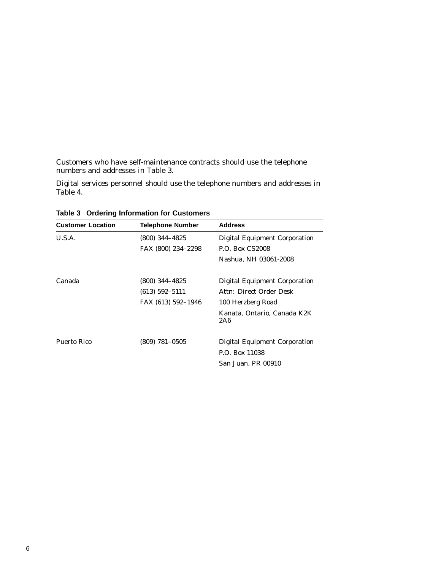Customers who have self-maintenance contracts should use the telephone numbers and addresses in Table 3.

Digital services personnel should use the telephone numbers and addresses in Table 4.

| <b>Customer Location</b> | <b>Telephone Number</b> | <b>Address</b>                       |
|--------------------------|-------------------------|--------------------------------------|
| U.S.A.                   | $(800)$ 344-4825        | <b>Digital Equipment Corporation</b> |
|                          | FAX (800) 234-2298      | <b>P.O. Box CS2008</b>               |
|                          |                         | Nashua, NH 03061-2008                |
| Canada                   | $(800)$ 344-4825        | Digital Equipment Corporation        |
|                          | $(613) 592 - 5111$      | Attn: Direct Order Desk              |
|                          | FAX (613) 592-1946      | 100 Herzberg Road                    |
|                          |                         | Kanata. Ontario. Canada K2K<br>2A6   |
| Puerto Rico              | $(809)$ 781-0505        | <b>Digital Equipment Corporation</b> |
|                          |                         | P.O. Box 11038                       |
|                          |                         | San Juan, PR 00910                   |

**Table 3 Ordering Information for Customers**